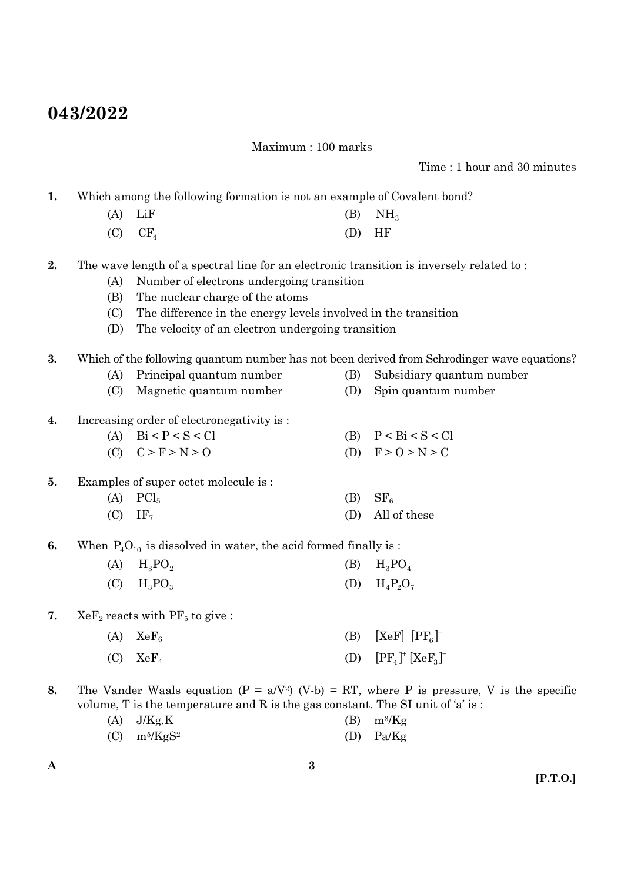## **043/2022**

Maximum : 100 marks

Time : 1 hour and 30 minutes

**1.** Which among the following formation is not an example of Covalent bond?

- (A) LiF (B)  $NH<sub>3</sub>$  $(C)$   $CF<sub>4</sub>$  (D) HF
- **2.** The wave length of a spectral line for an electronic transition is inversely related to :
	- (A) Number of electrons undergoing transition
	- (B) The nuclear charge of the atoms
	- (C) The difference in the energy levels involved in the transition
	- (D) The velocity of an electron undergoing transition
- **3.** Which of the following quantum number has not been derived from Schrodinger wave equations?
	- (A) Principal quantum number (B) Subsidiary quantum number
	- (C) Magnetic quantum number (D) Spin quantum number
- **4.** Increasing order of electronegativity is :
	- (A)  $\text{Bi} < P < S < \text{Cl}$  (B)  $P < \text{Bi} < S < \text{Cl}$ (C)  $C > F > N > 0$  (D)  $F > 0 > N > C$
- **5.** Examples of super octet molecule is :
	- (A)  $\text{PCl}_5$  (B)  $\text{SF}_6$ (C)  $IF<sub>7</sub>$  (D) All of these
- **6.** When  $P_4O_{10}$  is dissolved in water, the acid formed finally is :
	- (A)  $H_3PO_2$  (B)  $H_3PO_4$ (C)  $H_3PO_3$  (D)  $H_4P_2O_7$
- **7.**  $XeF_2$  reacts with  $PF_5$  to give:

| $(A)$ $XeF_6$ | (B) $[XeF]^+[PF_{6}]^-$    |
|---------------|----------------------------|
| $(C)$ $XeF_4$ | (D) $[PF_4]^+$ $[XeF_3]^-$ |

**8.** The Vander Waals equation  $(P = a/V^2)$  (V-b) = RT, where P is pressure, V is the specific volume, T is the temperature and R is the gas constant. The SI unit of 'a' is :

| $(A)$ J/Kg.K                           | $(B)$ m <sup>3</sup> /Kg |
|----------------------------------------|--------------------------|
| $(C)$ m <sup>5</sup> /KgS <sup>2</sup> | $(D)$ Pa/Kg              |

**A**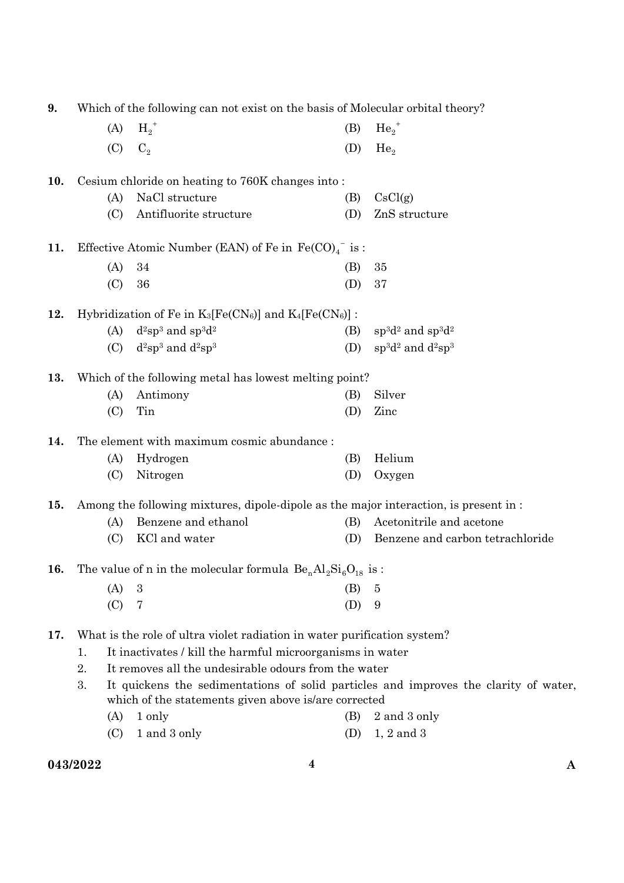| 9.<br>Which of the following can not exist on the basis of Molecular orbital theory? |                                                            |                                                                                  |     |                                                                                      |  |
|--------------------------------------------------------------------------------------|------------------------------------------------------------|----------------------------------------------------------------------------------|-----|--------------------------------------------------------------------------------------|--|
|                                                                                      | (A)                                                        | $H_2^+$                                                                          | (B) | $He_2^+$                                                                             |  |
|                                                                                      | (C)                                                        | $C_{2}$                                                                          | (D) | He <sub>2</sub>                                                                      |  |
| 10.                                                                                  |                                                            | Cesium chloride on heating to 760K changes into:                                 |     |                                                                                      |  |
|                                                                                      | (A)                                                        | NaCl structure                                                                   | (B) | CsCl(g)                                                                              |  |
|                                                                                      | (C)                                                        | Antifluorite structure                                                           | (D) | ZnS structure                                                                        |  |
| 11.                                                                                  |                                                            | Effective Atomic Number (EAN) of Fe in $Fe(CO)4$ is:                             |     |                                                                                      |  |
|                                                                                      | (A)                                                        | 34                                                                               | (B) | 35                                                                                   |  |
|                                                                                      | (C)                                                        | 36                                                                               | (D) | 37                                                                                   |  |
| 12.                                                                                  |                                                            | Hybridization of Fe in $K_3[Fe(CN_6)]$ and $K_4[Fe(CN_6)]$ :                     |     |                                                                                      |  |
|                                                                                      | (A)                                                        | $d^2sp^3$ and $sp^3d^2$                                                          | (B) | $sp^3d^2$ and $sp^3d^2$                                                              |  |
|                                                                                      | (C)                                                        | $d^2sp^3$ and $d^2sp^3$                                                          | (D) | $sp^3d^2$ and $d^2sp^3$                                                              |  |
| 13.                                                                                  |                                                            | Which of the following metal has lowest melting point?                           |     |                                                                                      |  |
|                                                                                      | (A)                                                        | Antimony                                                                         | (B) | Silver                                                                               |  |
|                                                                                      | (C)                                                        | Tin                                                                              | (D) | Zinc                                                                                 |  |
| 14.                                                                                  |                                                            | The element with maximum cosmic abundance :                                      |     |                                                                                      |  |
|                                                                                      | (A)                                                        | Hydrogen                                                                         | (B) | Helium                                                                               |  |
|                                                                                      | (C)                                                        | Nitrogen                                                                         | (D) | Oxygen                                                                               |  |
| 15.                                                                                  |                                                            |                                                                                  |     | Among the following mixtures, dipole-dipole as the major interaction, is present in: |  |
|                                                                                      | (A)                                                        | Benzene and ethanol                                                              | (B) | Acetonitrile and acetone                                                             |  |
|                                                                                      | (C)                                                        | KCl and water                                                                    | (D) | Benzene and carbon tetrachloride                                                     |  |
| 16.                                                                                  |                                                            | The value of n in the molecular formula $\mathrm{Be_{n}Al_{2}Si_{6}O_{18}}$ is : |     |                                                                                      |  |
|                                                                                      | (A)                                                        | 3                                                                                | (B) | 5                                                                                    |  |
|                                                                                      | (C)                                                        | 7                                                                                | (D) | 9                                                                                    |  |
| 17.                                                                                  |                                                            | What is the role of ultra violet radiation in water purification system?         |     |                                                                                      |  |
|                                                                                      | 1.                                                         | It inactivates / kill the harmful microorganisms in water                        |     |                                                                                      |  |
|                                                                                      | It removes all the undesirable odours from the water<br>2. |                                                                                  |     |                                                                                      |  |
|                                                                                      | 3.                                                         | which of the statements given above is/are corrected                             |     | It quickens the sedimentations of solid particles and improves the clarity of water, |  |
|                                                                                      | (A)                                                        | 1 only                                                                           | (B) | 2 and 3 only                                                                         |  |
|                                                                                      | (C)                                                        | 1 and 3 only                                                                     | (D) | $1, 2$ and $3$                                                                       |  |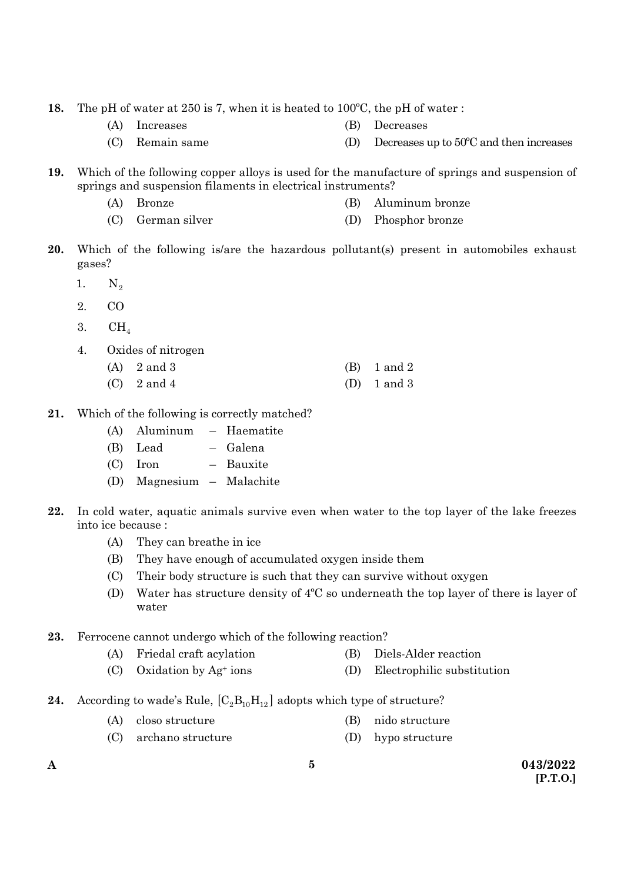- **18.** The pH of water at 250 is 7, when it is heated to 100ºC, the pH of water :
	- (A) Increases (B) Decreases
		-
	- (C) Remain same (D) Decreases up to 50ºC and then increases
- **19.** Which of the following copper alloys is used for the manufacture of springs and suspension of springs and suspension filaments in electrical instruments?
	- (A) Bronze (B) Aluminum bronze
	- (C) German silver (D) Phosphor bronze
- **20.** Which of the following is/are the hazardous pollutant(s) present in automobiles exhaust gases?
	- 1.  $N_2$
	- 2. CO
	- 3.  $CH<sub>4</sub>$
	- 4. Oxides of nitrogen
		- (A)  $2 \text{ and } 3$  (B)  $1 \text{ and } 2$
		- (C)  $2 \text{ and } 4$  (D)  $1 \text{ and } 3$
- **21.** Which of the following is correctly matched?
	- (A) Aluminum Haematite
	- (B) Lead Galena
	- (C) Iron Bauxite
	- (D) Magnesium Malachite
- **22.** In cold water, aquatic animals survive even when water to the top layer of the lake freezes into ice because :
	- (A) They can breathe in ice
	- (B) They have enough of accumulated oxygen inside them
	- (C) Their body structure is such that they can survive without oxygen
	- (D) Water has structure density of 4ºC so underneath the top layer of there is layer of water
- **23.** Ferrocene cannot undergo which of the following reaction?
	- (A) Friedal craft acylation (B) Diels-Alder reaction
	- (C) Oxidation by Ag+ ions (D) Electrophilic substitution
- **24.** According to wade's Rule,  $[C_2B_{10}H_{12}]$  adopts which type of structure?
	- (A) closo structure (B) nido structure
- - (C) archano structure (D) hypo structure
-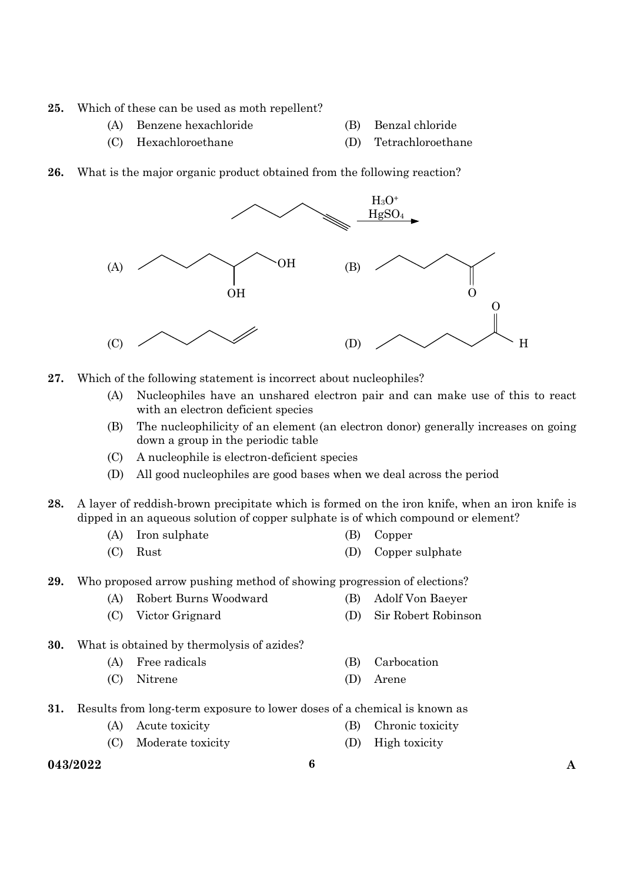- **25.** Which of these can be used as moth repellent?
	- (A) Benzene hexachloride (B) Benzal chloride
- - (C) Hexachloroethane (D) Tetrachloroethane
- **26.** What is the major organic product obtained from the following reaction?



- **27.** Which of the following statement is incorrect about nucleophiles?
	- (A) Nucleophiles have an unshared electron pair and can make use of this to react with an electron deficient species
	- (B) The nucleophilicity of an element (an electron donor) generally increases on going down a group in the periodic table
	- (C) A nucleophile is electron-deficient species
	- (D) All good nucleophiles are good bases when we deal across the period
- **28.** A layer of reddish-brown precipitate which is formed on the iron knife, when an iron knife is dipped in an aqueous solution of copper sulphate is of which compound or element?
	- (A) Iron sulphate (B) Copper
	- (C) Rust (D) Copper sulphate
- **29.** Who proposed arrow pushing method of showing progression of elections?
	- (A) Robert Burns Woodward (B) Adolf Von Baeyer
	- (C) Victor Grignard (D) Sir Robert Robinson
- **30.** What is obtained by thermolysis of azides?
	- (A) Free radicals (B) Carbocation
	- (C) Nitrene (D) Arene
- **31.** Results from long-term exposure to lower doses of a chemical is known as
	- (A) Acute toxicity (B) Chronic toxicity
	- (C) Moderate toxicity (D) High toxicity
- **043/2022 6 A**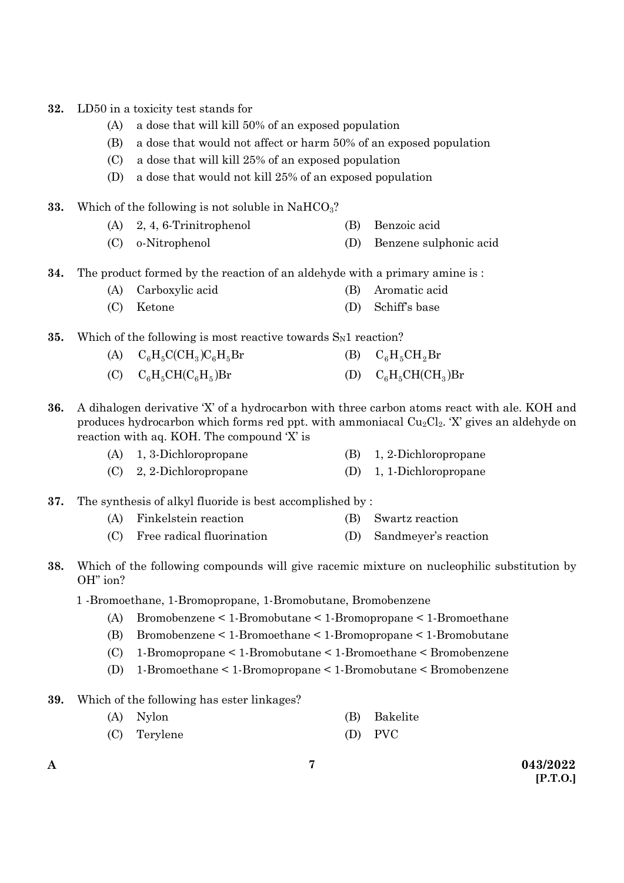- **32.** LD50 in a toxicity test stands for
	- (A) a dose that will kill 50% of an exposed population
	- (B) a dose that would not affect or harm 50% of an exposed population
	- (C) a dose that will kill 25% of an exposed population
	- (D) a dose that would not kill 25% of an exposed population
- **33.** Which of the following is not soluble in  $NAHCO<sub>3</sub>$ ?
	- (A) 2, 4, 6-Trinitrophenol (B) Benzoic acid
	- (C) o-Nitrophenol (D) Benzene sulphonic acid
- **34.** The product formed by the reaction of an aldehyde with a primary amine is :
	- (A) Carboxylic acid (B) Aromatic acid
	- (C) Ketone (D) Schiff's base

**35.** Which of the following is most reactive towards S<sub>N1</sub> reaction?

- (A)  $C_6H_5C(CH_3)C_6H_5Br$  (B)  $C_6H_5CH_2Br$ (C)  $C_6H_5CH(C_6H_5)Br$  (D)  $C_6H_5CH(CH_3)Br$
- **36.** A dihalogen derivative 'X' of a hydrocarbon with three carbon atoms react with ale. KOH and produces hydrocarbon which forms red ppt. with ammoniacal  $Cu_2Cl_2$ . 'X' gives an aldehyde on reaction with aq. KOH. The compound 'X' is
	- (A) 1, 3-Dichloropropane (B) 1, 2-Dichloropropane
	- (C) 2, 2-Dichloropropane (D) 1, 1-Dichloropropane

**37.** The synthesis of alkyl fluoride is best accomplished by :

- (A) Finkelstein reaction (B) Swartz reaction
- (C) Free radical fluorination (D) Sandmeyer's reaction
- **38.** Which of the following compounds will give racemic mixture on nucleophilic substitution by OH" ion?
	- 1 -Bromoethane, 1-Bromopropane, 1-Bromobutane, Bromobenzene
		- (A) Bromobenzene < 1-Bromobutane < 1-Bromopropane < 1-Bromoethane
		- (B) Bromobenzene < 1-Bromoethane < 1-Bromopropane < 1-Bromobutane
		- (C) 1-Bromopropane < 1-Bromobutane < 1-Bromoethane < Bromobenzene
		- (D) 1-Bromoethane < 1-Bromopropane < 1-Bromobutane < Bromobenzene
- **39.** Which of the following has ester linkages?

| (A) Nylon    | (B) Bakelite |
|--------------|--------------|
| (C) Terylene | (D) PVC      |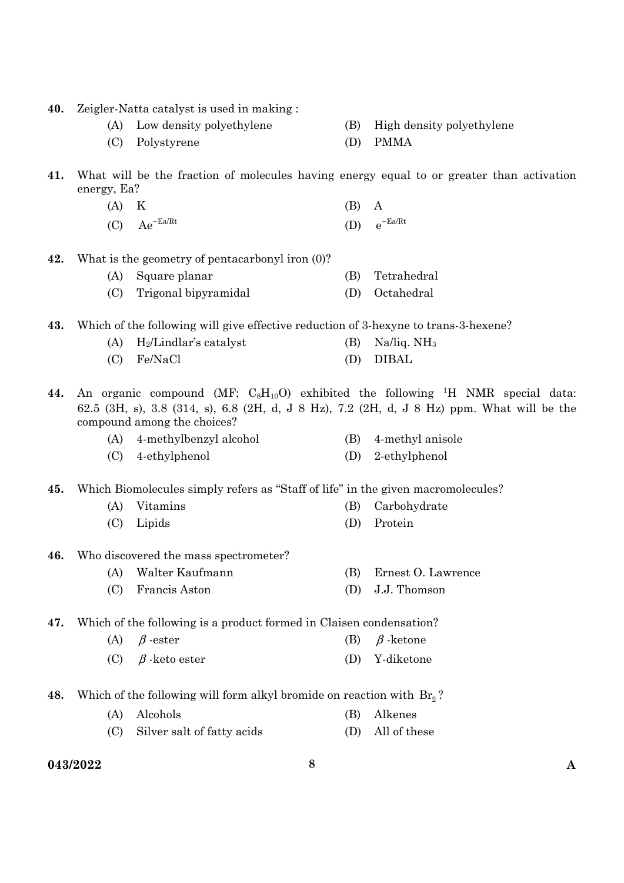- **40.** Zeigler-Natta catalyst is used in making :
	- (A) Low density polyethylene (B) High density polyethylene
	- (C) Polystyrene (D) PMMA
- -
- **41.** What will be the fraction of molecules having energy equal to or greater than activation energy, Ea?
	- (A) K (B) A (C)  $Ae^{-Ea/Rt}$  (D)  $e^{-Ea/Rt}$
- **42.** What is the geometry of pentacarbonyl iron (0)?

|  | (A) Square planar |  | (B) Tetrahedral |
|--|-------------------|--|-----------------|
|  |                   |  |                 |

- (C) Trigonal bipyramidal (D) Octahedral
- **43.** Which of the following will give effective reduction of 3-hexyne to trans-3-hexene?

| $(A)$ H <sub>2</sub> /Lindlar's catalyst | (B) Na/liq. $NH_3$ |
|------------------------------------------|--------------------|
| (C) Fe/NaCl                              | (D) DIBAL          |

**44.** An organic compound (MF;  $C_8H_{10}O$ ) exhibited the following <sup>1</sup>H NMR special data: 62.5 (3H, s), 3.8 (314, s), 6.8 (2H, d, J 8 Hz), 7.2 (2H, d, J 8 Hz) ppm. What will be the compound among the choices?

- (A) 4-methylbenzyl alcohol (B) 4-methyl anisole
- (C) 4-ethylphenol (D) 2-ethylphenol

**45.** Which Biomolecules simply refers as "Staff of life" in the given macromolecules?

- (A) Vitamins (B) Carbohydrate (C) Lipids (D) Protein
- **46.** Who discovered the mass spectrometer?
	- (A) Walter Kaufmann (B) Ernest O. Lawrence
	- (C) Francis Aston (D) J.J. Thomson

**47.** Which of the following is a product formed in Claisen condensation?

- (A)  $\beta$ -ester (B)  $\beta$ -ketone
- (C) β -keto ester (D) Y-diketone
- **48.** Which of the following will form alkyl bromide on reaction with Br<sub>2</sub>?
	- (A) Alcohols (B) Alkenes (C) Silver salt of fatty acids (D) All of these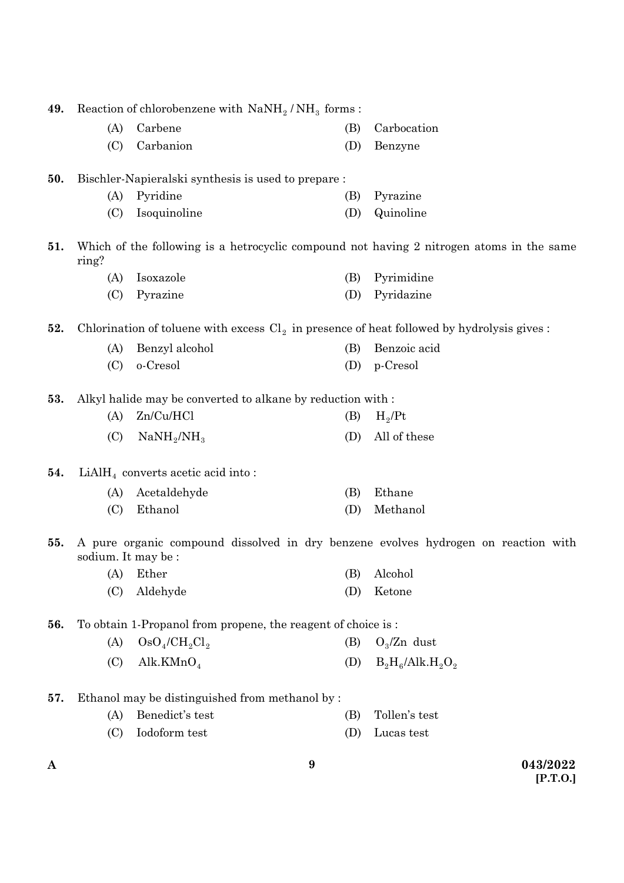| 49. | Reaction of chlorobenzene with $N \alpha N H_2 / NH_3$ forms: |                                                                                              |     |                                                                                          |  |
|-----|---------------------------------------------------------------|----------------------------------------------------------------------------------------------|-----|------------------------------------------------------------------------------------------|--|
|     | (A)                                                           | Carbene                                                                                      | (B) | Carbocation                                                                              |  |
|     | (C)                                                           | Carbanion                                                                                    | (D) | Benzyne                                                                                  |  |
| 50. |                                                               | Bischler-Napieralski synthesis is used to prepare:                                           |     |                                                                                          |  |
|     | (A)                                                           | Pyridine                                                                                     | (B) | Pyrazine                                                                                 |  |
|     | (C)                                                           | Isoquinoline                                                                                 | (D) | Quinoline                                                                                |  |
| 51. | ring?                                                         |                                                                                              |     | Which of the following is a hetrocyclic compound not having 2 nitrogen atoms in the same |  |
|     | (A)                                                           | Isoxazole                                                                                    | (B) | Pyrimidine                                                                               |  |
|     | (C)                                                           | Pyrazine                                                                                     | (D) | Pyridazine                                                                               |  |
| 52. |                                                               | Chlorination of toluene with excess $Cl_2$ in presence of heat followed by hydrolysis gives: |     |                                                                                          |  |
|     | (A)                                                           | Benzyl alcohol                                                                               | (B) | Benzoic acid                                                                             |  |
|     | (C)                                                           | o-Cresol                                                                                     | (D) | p-Cresol                                                                                 |  |
| 53. |                                                               | Alkyl halide may be converted to alkane by reduction with :                                  |     |                                                                                          |  |
|     | (A)                                                           | Zn/Cu/HCl                                                                                    | (B) | $H_2$ /Pt                                                                                |  |
|     | (C)                                                           | $NaNH_{2}/NH_{3}$                                                                            | (D) | All of these                                                                             |  |
| 54. |                                                               | $LiAlH4$ converts acetic acid into:                                                          |     |                                                                                          |  |
|     | (A)                                                           | Acetaldehyde                                                                                 | (B) | Ethane                                                                                   |  |
|     | (C)                                                           | Ethanol                                                                                      | (D) | Methanol                                                                                 |  |
| 55. | sodium. It may be :                                           |                                                                                              |     | A pure organic compound dissolved in dry benzene evolves hydrogen on reaction with       |  |
|     |                                                               | (A) Ether                                                                                    |     | (B) Alcohol                                                                              |  |
|     | (C)                                                           | Aldehyde                                                                                     | (D) | Ketone                                                                                   |  |
| 56. |                                                               | To obtain 1-Propanol from propene, the reagent of choice is:                                 |     |                                                                                          |  |
|     | (A)                                                           | $OsO_4/CH_2Cl_2$                                                                             | (B) | $O_3/Zn$ dust                                                                            |  |
|     | (C)                                                           | Alk.KMn $O_4$                                                                                | (D) | $B_2H_6/Alk.H_2O_2$                                                                      |  |
| 57. |                                                               | Ethanol may be distinguished from methanol by:                                               |     |                                                                                          |  |
|     | (A)                                                           | Benedict's test                                                                              | (B) | Tollen's test                                                                            |  |
|     | (C)                                                           | Iodoform test                                                                                | (D) | Lucas test                                                                               |  |
|     |                                                               |                                                                                              |     |                                                                                          |  |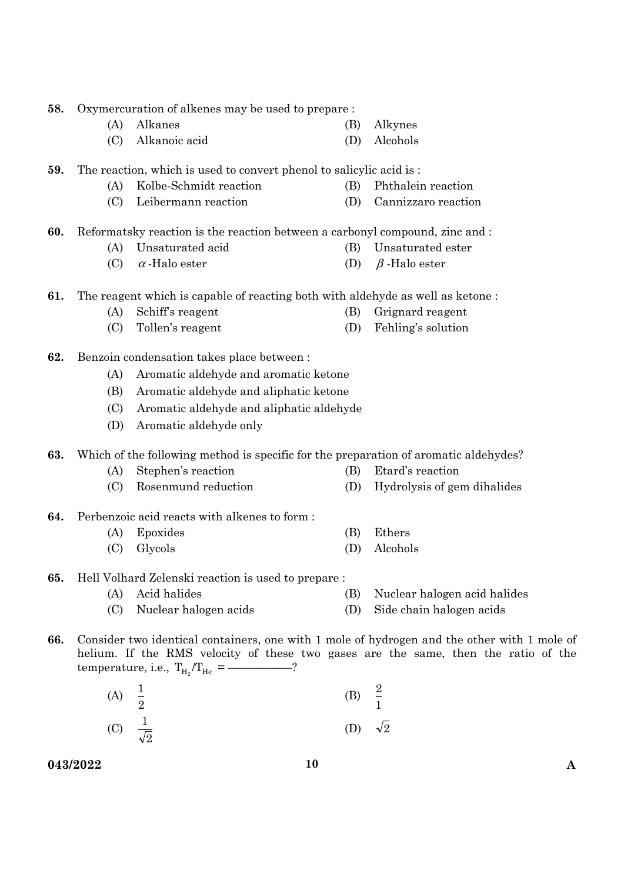- **58.** Oxymercuration of alkenes may be used to prepare :
	- (A) Alkanes (B) Alkynes (C) Alkanoic acid (D) Alcohols
- **59.** The reaction, which is used to convert phenol to salicylic acid is :
	- (A) Kolbe-Schmidt reaction (B) Phthalein reaction
	- (C) Leibermann reaction (D) Cannizzaro reaction

**60.** Reformatsky reaction is the reaction between a carbonyl compound, zinc and :

- (A) Unsaturated acid (B) Unsaturated ester
- (C)  $\alpha$ -Halo ester (D)  $\beta$ -Halo ester
- **61.** The reagent which is capable of reacting both with aldehyde as well as ketone :
	- (A) Schiff's reagent (B) Grignard reagent
	- (C) Tollen's reagent (D) Fehling's solution
- **62.** Benzoin condensation takes place between :
	- (A) Aromatic aldehyde and aromatic ketone
	- (B) Aromatic aldehyde and aliphatic ketone
	- (C) Aromatic aldehyde and aliphatic aldehyde
	- (D) Aromatic aldehyde only

**63.** Which of the following method is specific for the preparation of aromatic aldehydes?

- (A) Stephen's reaction (B) Etard's reaction
- (C) Rosenmund reduction (D) Hydrolysis of gem dihalides
- **64.** Perbenzoic acid reacts with alkenes to form :
	- (A) Epoxides (B) Ethers
	- (C) Glycols (D) Alcohols
- **65.** Hell Volhard Zelenski reaction is used to prepare :
	- (A) Acid halides (B) Nuclear halogen acid halides
	- (C) Nuclear halogen acids (D) Side chain halogen acids
- **66.** Consider two identical containers, one with 1 mole of hydrogen and the other with 1 mole of helium. If the RMS velocity of these two gases are the same, then the ratio of the temperature, i.e.,  $T_{H_2}/T_{He}$  =
	- (A)  $\frac{1}{2}$  $\frac{1}{2}$  (B)  $\frac{2}{1}$  $\frac{2}{1}$ (D)  $\sqrt{2}$

(C)  $\frac{1}{\sqrt{2}}$ 

**043/2022 10 A** 

- 
- 
- 
- 
- 
-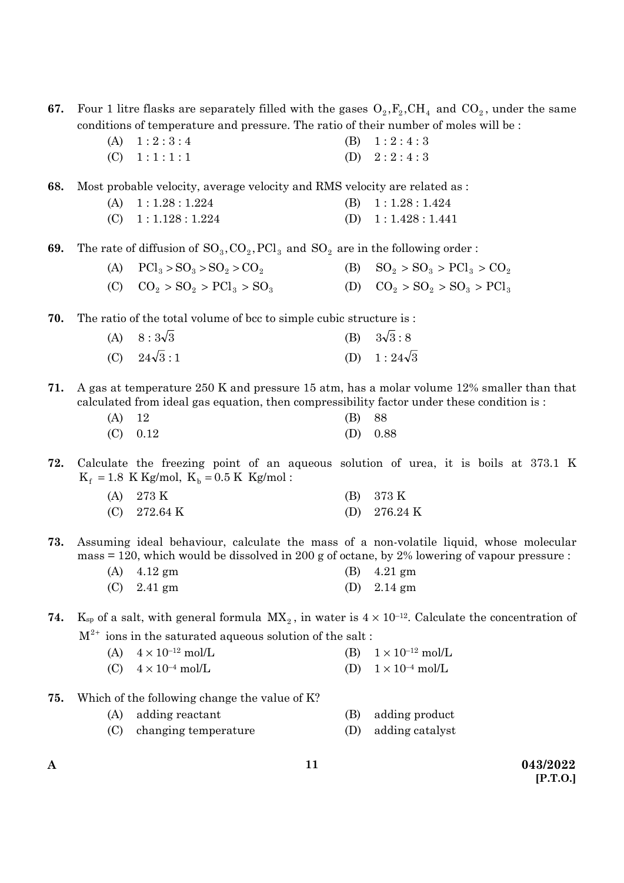**67.** Four 1 litre flasks are separately filled with the gases  $O_2$ ,  $F_2$ , CH<sub>4</sub> and CO<sub>2</sub>, under the same conditions of temperature and pressure. The ratio of their number of moles will be :

> (A)  $1:2:3:4$  (B)  $1:2:4:3$ (C)  $1:1:1:1$  (D)  $2:2:4:3$

**68.** Most probable velocity, average velocity and RMS velocity are related as :

- (A)  $1: 1.28: 1.224$  (B)  $1: 1.28: 1.424$
- (C)  $1:1.128:1.224$  (D)  $1:1.428:1.441$

**69.** The rate of diffusion of  $SO_3, CO_2, PC1_3$  and  $SO_2$  are in the following order :

| (A) $\text{PCl}_3 > \text{SO}_3 > \text{SO}_2 > \text{CO}_2$ | (B) $SO_2 > SO_3 > PCl_3 > CO_2$ |
|--------------------------------------------------------------|----------------------------------|
| (C) $CO_2 > SO_2 > PCl_3 > SO_3$                             | (D) $CO_2 > SO_2 > SO_3 > PCl_3$ |

**70.** The ratio of the total volume of bcc to simple cubic structure is :

| (A) $8:3\sqrt{3}$  | (B) $3\sqrt{3}:8$  |
|--------------------|--------------------|
| (C) $24\sqrt{3}:1$ | (D) $1:24\sqrt{3}$ |

**71.** A gas at temperature 250 K and pressure 15 atm, has a molar volume 12% smaller than that calculated from ideal gas equation, then compressibility factor under these condition is :

| $(A)$ 12 |            | (B) 88 |            |
|----------|------------|--------|------------|
|          | $(C)$ 0.12 |        | (D) $0.88$ |

**72.** Calculate the freezing point of an aqueous solution of urea, it is boils at 373.1 K  $K_f = 1.8$  K Kg/mol,  $K_b = 0.5$  K Kg/mol :

| $(A)$ 273 K            | (B) 373 K              |
|------------------------|------------------------|
| (C) $272.64 \text{ K}$ | (D) $276.24 \text{ K}$ |

**73.** Assuming ideal behaviour, calculate the mass of a non-volatile liquid, whose molecular mass = 120, which would be dissolved in 200 g of octane, by 2% lowering of vapour pressure :

| $(A)$ 4.12 gm | (B) $4.21$ gm         |
|---------------|-----------------------|
| $(C)$ 2.41 gm | (D) $2.14 \text{ gm}$ |

**74.** K<sub>sp</sub> of a salt, with general formula  $MX_2$ , in water is  $4 \times 10^{-12}$ . Calculate the concentration of  $M^{2+}$  ions in the saturated aqueous solution of the salt :

| (A) $4 \times 10^{-12}$ mol/L | (B) $1 \times 10^{-12}$ mol/L |
|-------------------------------|-------------------------------|
| (C) $4 \times 10^{-4}$ mol/L  | (D) $1 \times 10^{-4}$ mol/L  |

**75.** Which of the following change the value of K?

| (A) adding reactant      | (B) adding product  |
|--------------------------|---------------------|
| (C) changing temperature | (D) adding catalyst |

**A 043/2022 [P.T.O.]**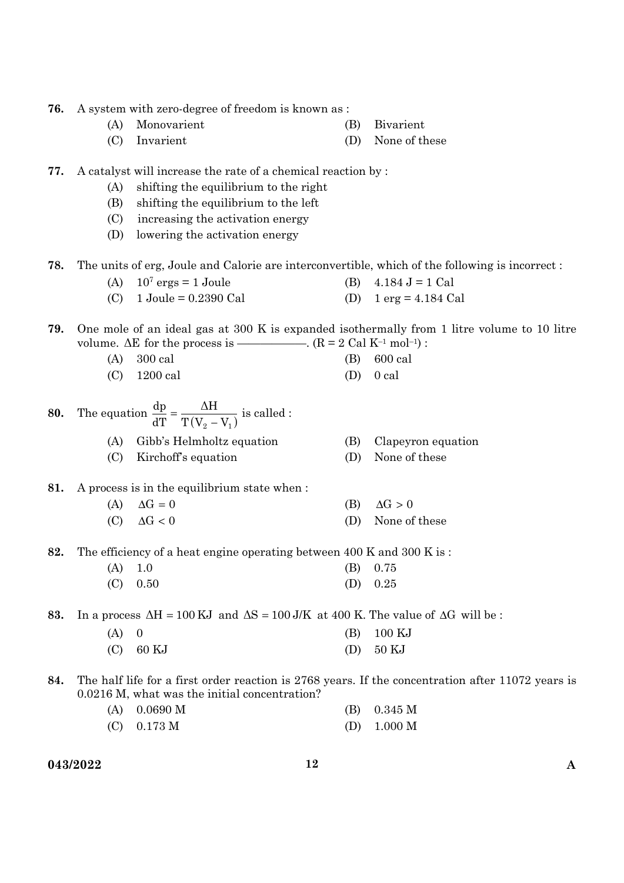- **76.** A system with zero-degree of freedom is known as :
	- (A) Monovarient (B) Bivarient
	- (C) Invarient (D) None of these
- **77.** A catalyst will increase the rate of a chemical reaction by :
	- (A) shifting the equilibrium to the right
	- (B) shifting the equilibrium to the left
	- (C) increasing the activation energy
	- (D) lowering the activation energy
- **78.** The units of erg, Joule and Calorie are interconvertible, which of the following is incorrect :
	- (A)  $10^7$  ergs = 1 Joule (B)  $4.184 \text{ J} = 1 \text{ Cal}$
	- (C)  $1 \text{ Joule} = 0.2390 \text{ Cal}$  (D)  $1 \text{ erg} = 4.184 \text{ Cal}$
- **79.** One mole of an ideal gas at 300 K is expanded isothermally from 1 litre volume to 10 litre volume.  $\Delta E$  for the process is —————.  $(R = 2 \text{ Cal } K^{-1} \text{ mol}^{-1})$ :
	- (A) 300 cal (B) 600 cal (C) 1200 cal (D) 0 cal
- **80.** The equation  $\frac{dp}{dT} = \frac{\Delta H}{T(V_2 V_1)}$ dT  $\frac{dp}{dT} = \frac{\Delta H}{T(V_2 - V_1)}$  is called : (A) Gibb's Helmholtz equation (B) Clapeyron equation
	- (C) Kirchoff's equation (D) None of these
- **81.** A process is in the equilibrium state when :
	- (A)  $\Delta G = 0$  (B)  $\Delta G > 0$
	- (C)  $\Delta G < 0$  (D) None of these
- **82.** The efficiency of a heat engine operating between 400 K and 300 K is :
	- (A) 1.0 (B) 0.75
	- (C) 0.50 (D) 0.25
- **83.** In a process  $\Delta H = 100 \text{ KJ}$  and  $\Delta S = 100 \text{ J/K}$  at 400 K. The value of  $\Delta G$  will be :

| $(A)$ 0 |             | $(B)$ 100 KJ |
|---------|-------------|--------------|
|         | $(C)$ 60 KJ | $(D)$ 50 KJ  |

**84.** The half life for a first order reaction is 2768 years. If the concentration after 11072 years is 0.0216 M, what was the initial concentration?

| $(A)$ 0.0690 M | (B) $0.345 M$ |
|----------------|---------------|
| $(C)$ 0.173 M  | (D) $1.000 M$ |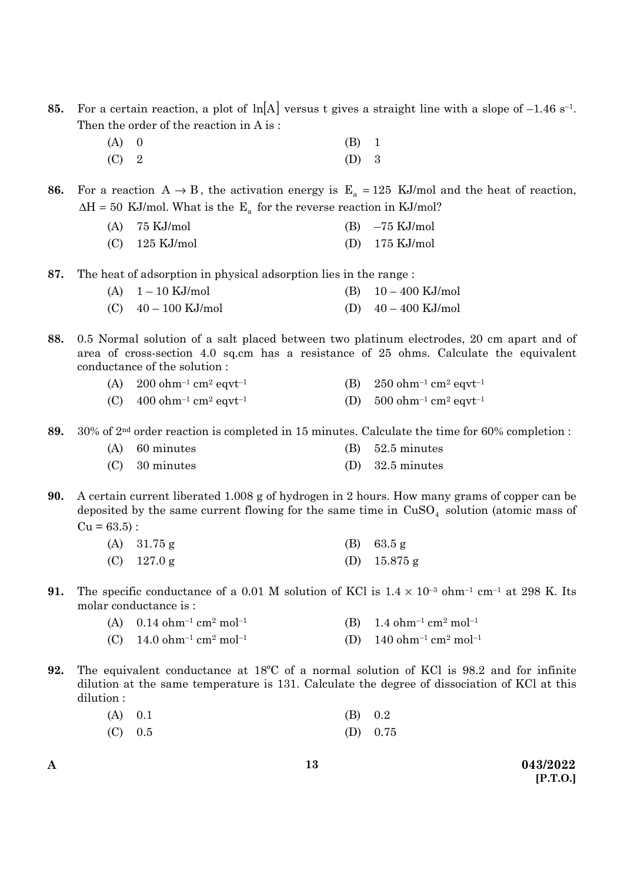- **85.** For a certain reaction, a plot of  $\ln[A]$  versus t gives a straight line with a slope of  $-1.46$  s<sup>-1</sup>. Then the order of the reaction in A is :
	- (A) 0 (B) 1 (C) 2 (D) 3

**86.** For a reaction  $A \rightarrow B$ , the activation energy is  $E_a = 125$  KJ/mol and the heat of reaction,  $\Delta H = 50$  KJ/mol. What is the E<sub>a</sub> for the reverse reaction in KJ/mol?

| $(A)$ 75 KJ/mol  | $(B)$ -75 KJ/mol         |
|------------------|--------------------------|
| $(C)$ 125 KJ/mol | (D) $175 \text{ KJ/mol}$ |

**87.** The heat of adsorption in physical adsorption lies in the range :

| (A) $1 - 10$ KJ/mol   | (B) $10-400$ KJ/mol   |
|-----------------------|-----------------------|
| (C) $40 - 100$ KJ/mol | (D) $40 - 400$ KJ/mol |

- **88.** 0.5 Normal solution of a salt placed between two platinum electrodes, 20 cm apart and of area of cross-section 4.0 sq.cm has a resistance of 25 ohms. Calculate the equivalent conductance of the solution :
	- (A)  $200 \text{ ohm}^{-1} \text{ cm}^2 \text{ eqvt}^{-1}$  (B)  $250 \text{ ohm}^{-1} \text{ cm}^2 \text{ eqvt}^{-1}$
	- (C)  $400 \text{ ohm}^{-1} \text{ cm}^2 \text{ eqvt}^{-1}$  (D)  $500 \text{ ohm}^{-1} \text{ cm}^2 \text{ eqvt}^{-1}$

**89.** 30% of 2nd order reaction is completed in 15 minutes. Calculate the time for 60% completion :

| $(A)$ 60 minutes | $(B)$ 52.5 minutes |
|------------------|--------------------|
| $(C)$ 30 minutes | $(D)$ 32.5 minutes |

**90.** A certain current liberated 1.008 g of hydrogen in 2 hours. How many grams of copper can be deposited by the same current flowing for the same time in  $CuSO<sub>4</sub>$  solution (atomic mass of  $Cu = 63.5$ :

| (A) $31.75$ g | (B) $63.5 g$   |
|---------------|----------------|
| $(C)$ 127.0 g | (D) $15.875$ g |

- **91.** The specific conductance of a 0.01 M solution of KCl is  $1.4 \times 10^{-3}$  ohm<sup>-1</sup> cm<sup>-1</sup> at 298 K. Its molar conductance is :
	- (A)  $0.14 \text{ ohm}^{-1} \text{ cm}^2 \text{ mol}^{-1}$  (B)  $1.4 \text{ ohm}^{-1} \text{ cm}^2 \text{ mol}^{-1}$
	- (C)  $14.0 \text{ ohm}^{-1} \text{ cm}^2 \text{ mol}^{-1}$  (D)  $140 \text{ ohm}^{-1} \text{ cm}^2 \text{ mol}^{-1}$
- **92.** The equivalent conductance at 18ºC of a normal solution of KCl is 98.2 and for infinite dilution at the same temperature is 131. Calculate the degree of dissociation of KCl at this dilution :

| (A) 0.1   | $(B)$ 0.2 |            |
|-----------|-----------|------------|
| $(C)$ 0.5 |           | (D) $0.75$ |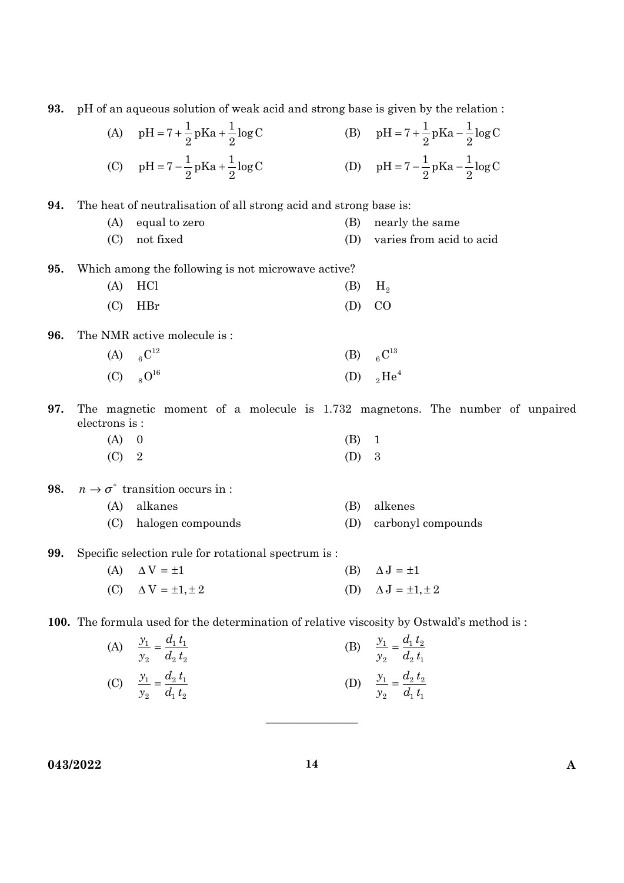|                                                                                           |               | (C) $pH = 7 - \frac{1}{2}pKa + \frac{1}{2}log C$                  |     | (D) $pH = 7 - \frac{1}{2}pKa - \frac{1}{2}log C$                             |  |
|-------------------------------------------------------------------------------------------|---------------|-------------------------------------------------------------------|-----|------------------------------------------------------------------------------|--|
| 94.                                                                                       |               | The heat of neutralisation of all strong acid and strong base is: |     |                                                                              |  |
|                                                                                           | (A)           | equal to zero                                                     | (B) | nearly the same                                                              |  |
|                                                                                           | (C)           | not fixed                                                         | (D) | varies from acid to acid                                                     |  |
| 95.                                                                                       |               | Which among the following is not microwave active?                |     |                                                                              |  |
|                                                                                           | (A)           | HCl                                                               | (B) | H <sub>2</sub>                                                               |  |
|                                                                                           | (C)           | <b>HBr</b>                                                        | (D) | CO                                                                           |  |
| 96.                                                                                       |               | The NMR active molecule is:                                       |     |                                                                              |  |
|                                                                                           |               | (A) ${}_{6}C^{12}$                                                | (B) | $_{6}C^{13}$                                                                 |  |
|                                                                                           |               | (C) $8^{16}$                                                      |     | (D) ${}_{2}He^{4}$                                                           |  |
| 97.                                                                                       | electrons is: |                                                                   |     | The magnetic moment of a molecule is 1.732 magnetons. The number of unpaired |  |
|                                                                                           | (A)           | $\overline{0}$                                                    | (B) | $\mathbf{1}$                                                                 |  |
|                                                                                           | (C)           | $\overline{2}$                                                    | (D) | 3                                                                            |  |
| 98.                                                                                       |               | $n \to \sigma^*$ transition occurs in :                           |     |                                                                              |  |
|                                                                                           | (A)           | alkanes                                                           | (B) | alkenes                                                                      |  |
|                                                                                           | (C)           | halogen compounds                                                 | (D) | carbonyl compounds                                                           |  |
| 99.                                                                                       |               | Specific selection rule for rotational spectrum is :              |     |                                                                              |  |
|                                                                                           |               | (A) $\Delta V = \pm 1$                                            |     | (B) $\Delta J = \pm 1$                                                       |  |
|                                                                                           |               | (C) $\Delta V = \pm 1, \pm 2$                                     |     | (D) $\Delta J = \pm 1, \pm 2$                                                |  |
| 100. The formula used for the determination of relative viscosity by Ostwald's method is: |               |                                                                   |     |                                                                              |  |
|                                                                                           | (A)           | $\frac{y_1}{y_2} = \frac{d_1 t_1}{d_2 t_2}$                       | (B) | $\frac{y_1}{y_2} = \frac{d_1 t_2}{d_2 t_1}$                                  |  |
|                                                                                           |               |                                                                   |     |                                                                              |  |
|                                                                                           |               | (C) $\frac{y_1}{y_2} = \frac{d_2 t_1}{d_1 t_2}$                   |     | (D) $\frac{y_1}{y_2} = \frac{d_2 t_2}{d_1 t_1}$                              |  |
|                                                                                           |               |                                                                   |     |                                                                              |  |
|                                                                                           |               |                                                                   |     |                                                                              |  |
|                                                                                           | 043/2022      |                                                                   | 14  | $\mathbf A$                                                                  |  |
|                                                                                           |               |                                                                   |     |                                                                              |  |

**93.** pH of an aqueous solution of weak acid and strong base is given by the relation :

 $pH = 7 + \frac{1}{2}pKa + \frac{1}{2}\log C$  (B)  $pH = 7 + \frac{1}{2}pKa - \frac{1}{2}\log C$ 

 $pH = 7 + \frac{1}{2} pKa - \frac{1}{2} log C$ 

(A)  $pH = 7 + \frac{1}{2}pKa + \frac{1}{2}log C$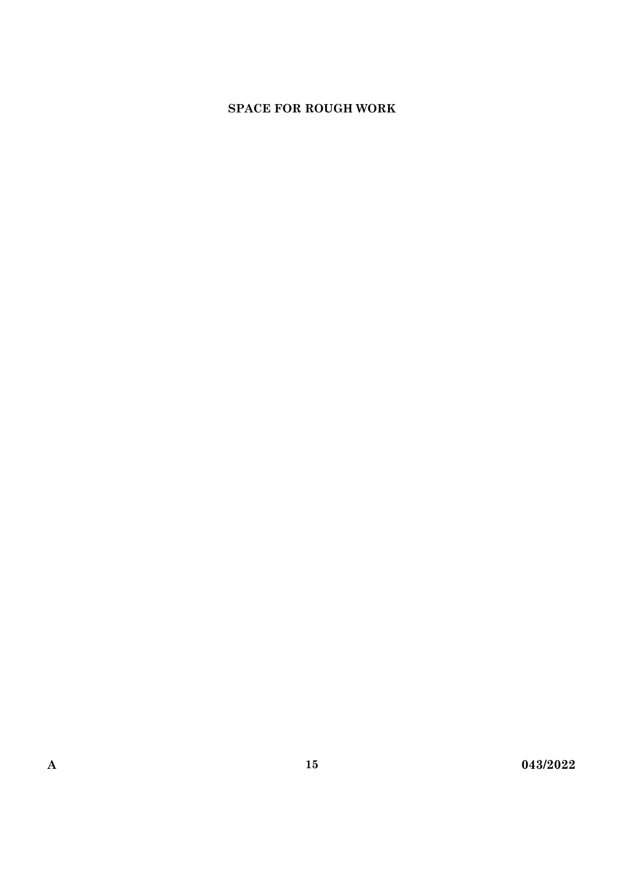## **SPACE FOR ROUGH WORK**